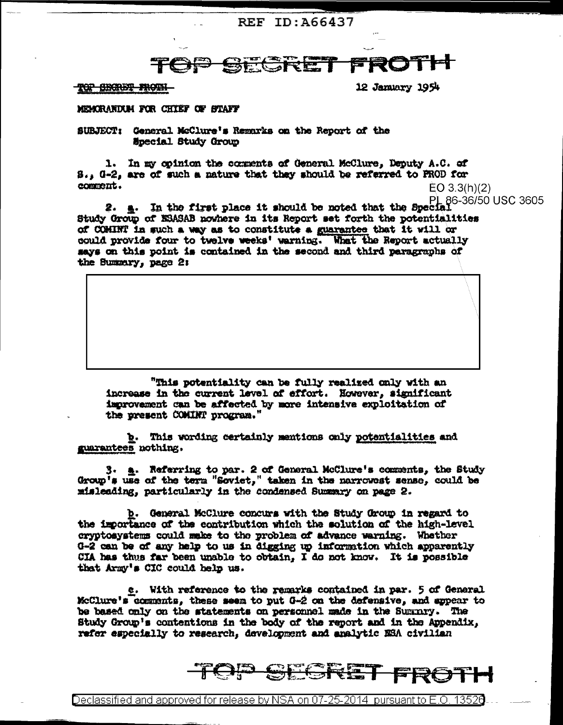## **REF ID: A66437**

## SEGRET

<del>TOP OBORBT FROTH</del>

12 January 1954

## MEMORANDUM FOR CHIEF OF STAFF

SUBJECT: General McClure's Remarks on the Report of the **Special Study Group** 

1. In my opinion the comments of General McClure, Deputy A.C. of S., G-2, are of such a nature that they should be referred to PROD for comment. EO 3.3(h)(2)

2.  $\pm$ . In the first place it should be noted that the Special.  $\pm$ Study Group of ESASAB nowhere in its Report set forth the potentialities of COHINT in such a way as to constitute a guarantee that it will or could provide four to twelve weeks' warning. What the Report actually says on this point is contained in the second and third paragraphs of the Summary, page 2:

"This potentiality can be fully realized only with an increase in the current level of effort. However, significant improvement can be affected by more intensive exploitation of the present COMINT program."

b. This wording certainly mentions only potentialities and guarantees nothing.

 $3.$   $\pm$ . Referring to par. 2 of General McClure's comments, the Study Group's use of the term "Soviet," taken in the narrowest sense, could be misleading, particularly in the condensed Summary on page 2.

**b.** General McClure concurs with the Study Group in regard to the importance of the contribution which the solution of the high-level cryptosystems could make to the problem of advance warning. Whether G-2 can be of any help to us in digging up information which apparently CIA has thus far been unable to obtain, I do not know. It is possible that Army's CIC could help us.

e. With reference to the remarks contained in par. 5 of General McClure's comments, these seen to put 0-2 on the defensive, and appear to be based only on the statements on personnel made in the Summry. The Study Group's contentions in the body of the report and in the Appendix, refer especially to research, development and analytic NSA civilian